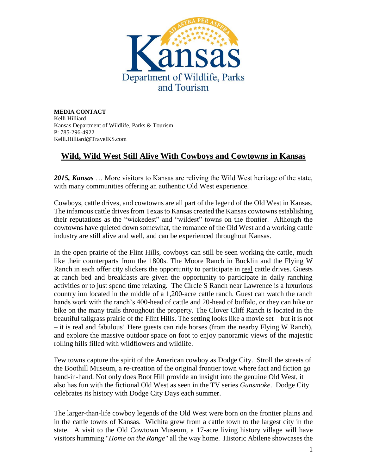

**MEDIA CONTACT** Kelli Hilliard Kansas Department of Wildlife, Parks & Tourism P: 785-296-4922 Kelli.Hilliard@TravelKS.com

## **Wild, Wild West Still Alive With Cowboys and Cowtowns in Kansas**

*2015, Kansas* … More visitors to Kansas are reliving the Wild West heritage of the state, with many communities offering an authentic Old West experience.

Cowboys, cattle drives, and cowtowns are all part of the legend of the Old West in Kansas. The infamous cattle drives from Texas to Kansas created the Kansas cowtowns establishing their reputations as the "wickedest" and "wildest" towns on the frontier. Although the cowtowns have quieted down somewhat, the romance of the Old West and a working cattle industry are still alive and well, and can be experienced throughout Kansas.

In the open prairie of the Flint Hills, cowboys can still be seen working the cattle, much like their counterparts from the 1800s. The Moore Ranch in Bucklin and the Flying W Ranch in each offer city slickers the opportunity to participate in real cattle drives. Guests at ranch bed and breakfasts are given the opportunity to participate in daily ranching activities or to just spend time relaxing. The Circle S Ranch near Lawrence is a luxurious country inn located in the middle of a 1,200-acre cattle ranch. Guest can watch the ranch hands work with the ranch's 400-head of cattle and 20-head of buffalo, or they can hike or bike on the many trails throughout the property. The Clover Cliff Ranch is located in the beautiful tallgrass prairie of the Flint Hills. The setting looks like a movie set – but it is not – it is real and fabulous! Here guests can ride horses (from the nearby Flying W Ranch), and explore the massive outdoor space on foot to enjoy panoramic views of the majestic rolling hills filled with wildflowers and wildlife.

Few towns capture the spirit of the American cowboy as Dodge City. Stroll the streets of the Boothill Museum, a re-creation of the original frontier town where fact and fiction go hand-in-hand. Not only does Boot Hill provide an insight into the genuine Old West, it also has fun with the fictional Old West as seen in the TV series *Gunsmoke*. Dodge City celebrates its history with Dodge City Days each summer.

The larger-than-life cowboy legends of the Old West were born on the frontier plains and in the cattle towns of Kansas. Wichita grew from a cattle town to the largest city in the state. A visit to the Old Cowtown Museum, a 17-acre living history village will have visitors humming "*Home on the Range"* all the way home. Historic Abilene showcases the